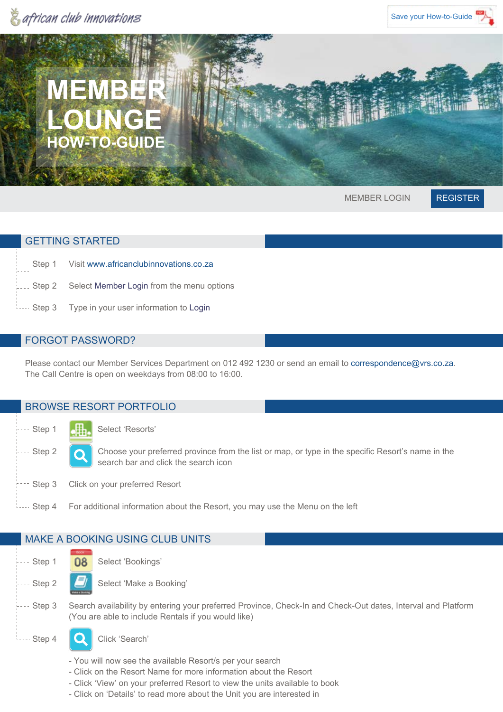



#### GETTING STARTED

| Step 1 Visit www.africanclubinnovations.co.za    |
|--------------------------------------------------|
| Step 2 Select Member Login from the menu options |
| Step 3 Type in your user information to Login    |

#### FORGOT PASSWORD?

Please contact our Member Services Department on 012 492 1230 or send an email to correspondence@vrs.co.za. The Call Centre is open on weekdays from 08:00 to 16:00.

#### BROWSE RESORT PORTFOLIO

Step 1 **Nilly** Select 'Resorts'



 $\Box$  Step 2  $\Box$  Choose your preferred province from the list or map, or type in the specific Resort's name in the search bar and click the search icon

- --- Step 3 Click on your preferred Resort
- Step 4 For additional information about the Resort, you may use the Menu on the left

## MAKE A BOOKING USING CLUB UNITS

Step 1 **08** Select 'Bookings'

 $\mathbb{Z}$  Step 2  $\Box$  Select 'Make a Booking'

 $\frac{1}{2}$ ... Step 3 Search availability by entering your preferred Province, Check-In and Check-Out dates, Interval and Platform (You are able to include Rentals if you would like)

 $\overline{\phantom{a}}$  Step 4  $\overline{\phantom{a}}$  Click 'Search'

- You will now see the available Resort/s per your search
- Click on the Resort Name for more information about the Resort
- Click 'View' on your preferred Resort to view the units available to book
- Click on 'Details' to read more about the Unit you are interested in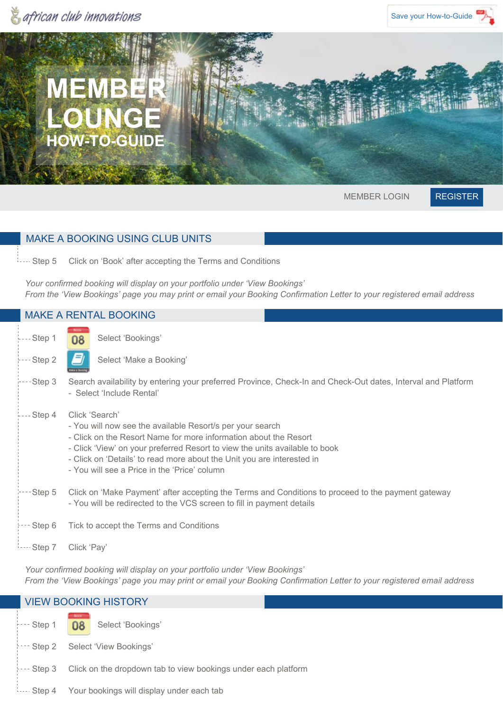



## MAKE A BOOKING USING CLUB UNITS

Step 5 Click on 'Book' after accepting the Terms and Conditions

*Your confirmed booking will display on your portfolio under 'View Bookings' From the 'View Bookings' page you may print or email your Booking Confirmation Letter to your registered email address*

### MAKE A RENTAL BOOKING

| Step 1  | Select 'Bookings'<br>08                                                                                                                                                                                                                                                                                                                                  |  |
|---------|----------------------------------------------------------------------------------------------------------------------------------------------------------------------------------------------------------------------------------------------------------------------------------------------------------------------------------------------------------|--|
| Step 2  | Select 'Make a Booking'                                                                                                                                                                                                                                                                                                                                  |  |
| Step 3  | Search availability by entering your preferred Province, Check-In and Check-Out dates, Interval and Platform<br>- Select 'Include Rental'                                                                                                                                                                                                                |  |
| Step 4  | Click 'Search'<br>- You will now see the available Resort/s per your search<br>- Click on the Resort Name for more information about the Resort<br>- Click 'View' on your preferred Resort to view the units available to book<br>- Click on 'Details' to read more about the Unit you are interested in<br>- You will see a Price in the 'Price' column |  |
| Step 5  | Click on 'Make Payment' after accepting the Terms and Conditions to proceed to the payment gateway<br>- You will be redirected to the VCS screen to fill in payment details                                                                                                                                                                              |  |
| Step 6  | Tick to accept the Terms and Conditions                                                                                                                                                                                                                                                                                                                  |  |
| ⋯Step 7 | Click 'Pay'                                                                                                                                                                                                                                                                                                                                              |  |

*Your confirmed booking will display on your portfolio under 'View Bookings' From the 'View Bookings' page you may print or email your Booking Confirmation Letter to your registered email address*

| <b>VIEW BOOKING HISTORY</b> |                                                                |  |
|-----------------------------|----------------------------------------------------------------|--|
| --- Step 1                  | Book -<br>08<br>Select 'Bookings'                              |  |
|                             | Step 2 Select 'View Bookings'                                  |  |
| :--- Step 3                 | Click on the dropdown tab to view bookings under each platform |  |

Step 4 Your bookings will display under each tab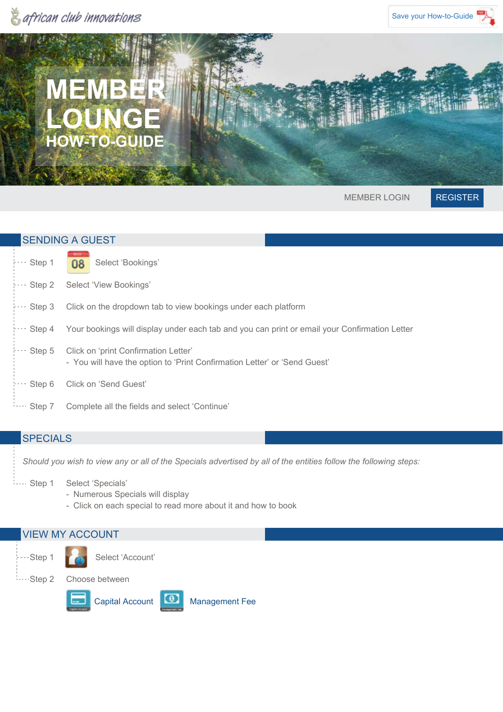



# SENDING A GUEST Step 1 **08** Select 'Bookings' --- Step 2 Select 'View Bookings' --- Step 3 Click on the dropdown tab to view bookings under each platform --- Step 4 Your bookings will display under each tab and you can print or email your Confirmation Letter F<sub>11</sub> Step 5 Click on 'print Confirmation Letter' - You will have the option to 'Print Confirmation Letter' or 'Send Guest' Step 6 Click on 'Send Guest' Step 7 Complete all the fields and select 'Continue'

#### **SPECIALS**

*Should you wish to view any or all of the Specials advertised by all of the entities follow the following steps:*

- :.... Step 1 Select 'Specials'
	- Numerous Specials will display
	- Click on each special to read more about it and how to book